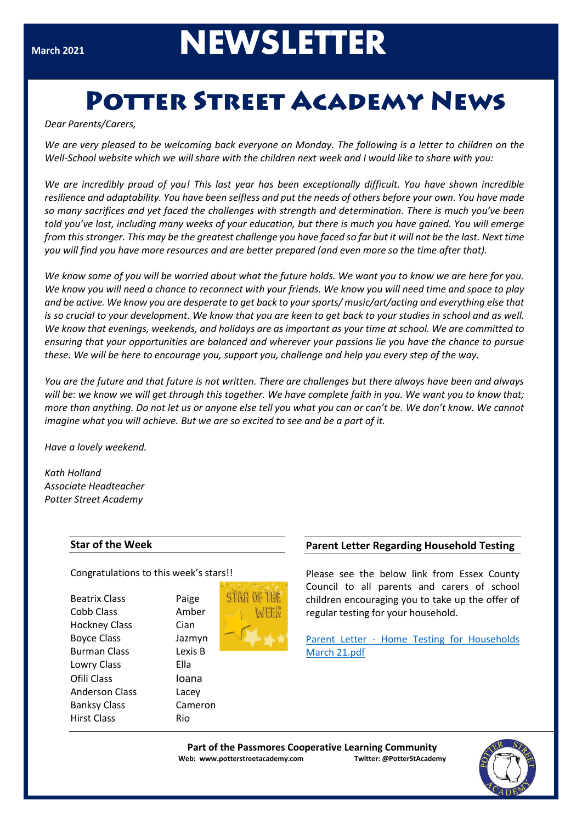# **NEWSLETTER**

# **POTTER STREET ACADEMY NEWS**

#### *Dear Parents/Carers,*

*We are very pleased to be welcoming back everyone on Monday. The following is a letter to children on the Well-School website which we will share with the children next week and I would like to share with you:*

Make sure they look out for the post!! *from this stronger. This may be the greatest challenge you have faced so far but it will not be the last. Next time We are incredibly proud of you! This last year has been exceptionally difficult. You have shown incredible resilience and adaptability. You have been selfless and put the needs of others before your own. You have made so many sacrifices and yet faced the challenges with strength and determination. There is much you've been told you've lost, including many weeks of your education, but there is much you have gained. You will emerge you will find you have more resources and are better prepared (and even more so the time after that).* 

*We know some of you will be worried about what the future holds. We want you to know we are here for you. We know you will need a chance to reconnect with your friends. We know you will need time and space to play and be active. We know you are desperate to get back to your sports/ music/art/acting and everything else that is so crucial to your development. We know that you are keen to get back to your studies in school and as well. We know that evenings, weekends, and holidays are as important as your time at school. We are committed to ensuring that your opportunities are balanced and wherever your passions lie you have the chance to pursue these. We will be here to encourage you, support you, challenge and help you every step of the way.* 

*You are the future and that future is not written. There are challenges but there always have been and always will be: we know we will get through this together. We have complete faith in you. We want you to know that; more than anything. Do not let us or anyone else tell you what you can or can't be. We don't know. We cannot imagine what you will achieve. But we are so excited to see and be a part of it.*

*Have a lovely weekend.*

*Kath Holland Associate Headteacher Potter Street Academy*

#### **Star of the Week**

Congratulations to this week's stars!!

Paige Amber Cian Jazmyn Lexis B **Ella loana** Lacey Cameron

| <b>Beatrix Class</b>  | Pai  |
|-----------------------|------|
| Cobb Class            | Am   |
| <b>Hockney Class</b>  | Cia  |
| <b>Boyce Class</b>    | Jaz  |
| <b>Burman Class</b>   | Lex  |
| Lowry Class           | Ella |
| Ofili Class           | loa  |
| <b>Anderson Class</b> | Lac  |
| <b>Banksy Class</b>   | Car  |
| <b>Hirst Class</b>    | Rio  |
|                       |      |



# **Parent Letter Regarding Household Testing**

Please see the below link from Essex County Council to all parents and carers of school children encouraging you to take up the offer of regular testing for your household.

Parent Letter - [Home Testing for Households](about:blank)  [March 21.pdf](about:blank)

**Part of the Passmores Cooperative Learning Community Web: www.potterstreetacademy.com Twitter: @PotterStAcademy**